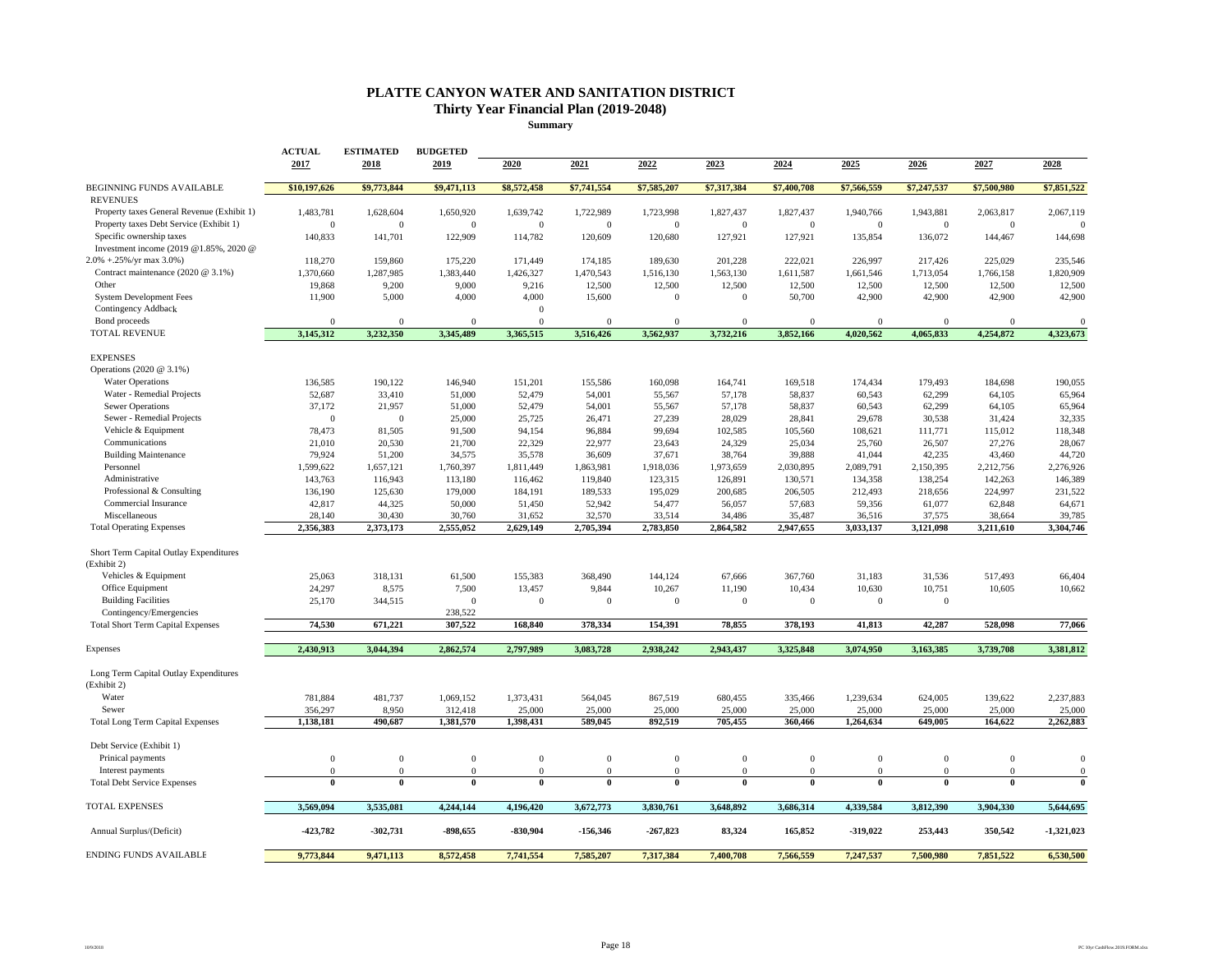## **PLATTE CANYON WATER AND SANITATION DISTRICT Thirty Year Financial Plan (2019-2048)**

**Summary**

|                                                                                       | <b>ACTUAL</b><br>2017     | <b>ESTIMATED</b><br>2018  | <b>BUDGETED</b><br>2019 | 2020                        | 2021                        | 2022                  | 2023                  | 2024                      | 2025                      | 2026                        | 2027                        | 2028                  |
|---------------------------------------------------------------------------------------|---------------------------|---------------------------|-------------------------|-----------------------------|-----------------------------|-----------------------|-----------------------|---------------------------|---------------------------|-----------------------------|-----------------------------|-----------------------|
| BEGINNING FUNDS AVAILABLE<br><b>REVENUES</b>                                          | \$10,197,626              | \$9,773,844               | \$9,471,113             | \$8,572,458                 | \$7,741,554                 | \$7,585,207           | \$7,317,384           | \$7,400,708               | \$7,566,559               | \$7,247,537                 | \$7,500,980                 | \$7,851,522           |
| Property taxes General Revenue (Exhibit 1)<br>Property taxes Debt Service (Exhibit 1) | 1,483,781<br>$\mathbf{0}$ | 1,628,604<br>$\mathbf{0}$ | 1,650,920<br>$\Omega$   | 1,639,742<br>$\overline{0}$ | 1,722,989<br>$\overline{0}$ | 1,723,998<br>$\Omega$ | 1,827,437<br>$\bf{0}$ | 1,827,437<br>$\mathbf{0}$ | 1,940,766<br>$\mathbf{0}$ | 1,943,881<br>$\overline{0}$ | 2,063,817<br>$\overline{0}$ | 2,067,119<br>$\Omega$ |
| Specific ownership taxes<br>Investment income (2019 @1.85%, 2020 @                    | 140,833                   | 141,701                   | 122,909                 | 114,782                     | 120,609                     | 120,680               | 127,921               | 127,921                   | 135,854                   | 136,072                     | 144,467                     | 144,698               |
| 2.0% +.25%/yr max 3.0%)                                                               | 118,270                   | 159,860                   | 175,220                 | 171,449                     | 174,185                     | 189,630               | 201,228               | 222,021                   | 226,997                   | 217,426                     | 225,029                     | 235,546               |
| Contract maintenance (2020 @ 3.1%)                                                    | 1,370,660                 | 1,287,985                 | 1,383,440               | 1,426,327                   | 1,470,543                   | 1,516,130             | 1,563,130             | 1,611,587                 | 1,661,546                 | 1,713,054                   | 1,766,158                   | 1,820,909             |
| Other                                                                                 | 19,868                    | 9,200                     | 9,000                   | 9,216                       | 12,500                      | 12,500                | 12,500                | 12,500                    | 12,500                    | 12,500                      | 12,500                      | 12,500                |
| <b>System Development Fees</b>                                                        | 11,900                    | 5,000                     | 4,000                   | 4,000                       | 15,600                      | $\mathbf{0}$          | $\mathbf{0}$          | 50,700                    | 42,900                    | 42,900                      | 42,900                      | 42,900                |
| Contingency Addback                                                                   |                           |                           |                         | $\mathbf{0}$                |                             |                       |                       |                           |                           |                             |                             |                       |
| Bond proceeds                                                                         | $\Omega$                  | $\theta$                  | $\Omega$                | $\theta$                    | $\Omega$                    | $\Omega$              | $\Omega$              | $\Omega$                  | $\Omega$                  | $\theta$                    | $\Omega$                    | $\Omega$              |
| TOTAL REVENUE                                                                         | 3,145,312                 | 3,232,350                 | 3,345,489               | 3,365,515                   | 3,516,426                   | 3,562,937             | 3,732,216             | 3,852,166                 | 4,020,562                 | 4,065,833                   | 4,254,872                   | 4,323,673             |
| <b>EXPENSES</b>                                                                       |                           |                           |                         |                             |                             |                       |                       |                           |                           |                             |                             |                       |
| Operations (2020 @ 3.1%)                                                              |                           |                           |                         |                             |                             |                       |                       |                           |                           |                             |                             |                       |
| <b>Water Operations</b>                                                               | 136,585                   | 190,122                   | 146,940                 | 151,201                     | 155,586                     | 160,098               | 164,741               | 169,518                   | 174,434                   | 179,493                     | 184,698                     | 190,055               |
| Water - Remedial Projects<br><b>Sewer Operations</b>                                  | 52,687<br>37,172          | 33,410                    | 51,000                  | 52,479                      | 54,001                      | 55,567<br>55,567      | 57,178                | 58,837<br>58,837          | 60,543                    | 62,299                      | 64,105<br>64,105            | 65,964                |
| Sewer - Remedial Projects                                                             | $\theta$                  | 21,957<br>$\mathbf{0}$    | 51,000<br>25,000        | 52,479<br>25,725            | 54,001<br>26,471            | 27,239                | 57,178<br>28,029      | 28,841                    | 60,543<br>29,678          | 62,299<br>30,538            | 31,424                      | 65,964<br>32,335      |
| Vehicle & Equipment                                                                   | 78,473                    | 81,505                    | 91,500                  | 94,154                      | 96,884                      | 99,694                | 102,585               | 105,560                   | 108,621                   | 111,771                     | 115,012                     | 118,348               |
| Communications                                                                        | 21,010                    | 20,530                    | 21,700                  | 22,329                      | 22,977                      | 23,643                | 24,329                | 25,034                    | 25,760                    | 26,507                      | 27,276                      | 28,067                |
| <b>Building Maintenance</b>                                                           | 79,924                    | 51,200                    | 34,575                  | 35,578                      | 36,609                      | 37,671                | 38,764                | 39,888                    | 41,044                    | 42,235                      | 43,460                      | 44,720                |
| Personnel                                                                             | 1,599,622                 | 1,657,121                 | 1,760,397               | 1,811,449                   | 1,863,981                   | 1,918,036             | 1,973,659             | 2,030,895                 | 2,089,791                 | 2,150,395                   | 2,212,756                   | 2,276,926             |
| Administrative                                                                        | 143,763                   | 116,943                   | 113,180                 | 116,462                     | 119,840                     | 123,315               | 126,891               | 130,571                   | 134,358                   | 138,254                     | 142,263                     | 146,389               |
| Professional & Consulting                                                             | 136,190                   | 125,630                   | 179,000                 | 184,191                     | 189,533                     | 195,029               | 200,685               | 206,505                   | 212,493                   | 218,656                     | 224,997                     | 231,522               |
| Commercial Insurance                                                                  | 42,817                    | 44,325                    | 50,000                  | 51,450                      | 52,942                      | 54,477                | 56,057                | 57,683                    | 59,356                    | 61,077                      | 62,848                      | 64,671                |
| Miscellaneous                                                                         | 28,140                    | 30,430                    | 30,760                  | 31,652                      | 32,570                      | 33,514                | 34,486                | 35,487                    | 36,516                    | 37,575                      | 38,664                      | 39,785                |
| <b>Total Operating Expenses</b>                                                       | 2,356,383                 | 2,373,173                 | 2,555,052               | 2,629,149                   | 2,705,394                   | 2,783,850             | 2,864,582             | 2,947,655                 | 3,033,137                 | 3,121,098                   | 3,211,610                   | 3,304,746             |
| Short Term Capital Outlay Expenditures<br>(Exhibit 2)                                 |                           |                           |                         |                             |                             |                       |                       |                           |                           |                             |                             |                       |
| Vehicles & Equipment                                                                  | 25,063                    | 318,131                   | 61,500                  | 155,383                     | 368,490                     | 144,124               | 67,666                | 367,760                   | 31,183                    | 31,536                      | 517,493                     | 66,404                |
| Office Equipment                                                                      | 24,297                    | 8,575                     | 7,500                   | 13,457                      | 9,844                       | 10,267                | 11,190                | 10,434                    | 10,630                    | 10,751                      | 10,605                      | 10,662                |
| <b>Building Facilities</b>                                                            | 25,170                    | 344,515                   | $\Omega$                | $\mathbf{0}$                | $\mathbf{0}$                | $\mathbf{0}$          | $\bf{0}$              | $\mathbf{0}$              | $\mathbf{0}$              | $\overline{0}$              |                             |                       |
| Contingency/Emergencies                                                               |                           |                           | 238,522                 |                             |                             |                       |                       |                           |                           |                             |                             |                       |
| <b>Total Short Term Capital Expenses</b>                                              | 74.530                    | 671,221                   | 307,522                 | 168,840                     | 378,334                     | 154,391               | 78,855                | 378,193                   | 41,813                    | 42,287                      | 528,098                     | 77,066                |
| Expenses                                                                              | 2,430,913                 | 3,044,394                 | 2,862,574               | 2,797,989                   | 3,083,728                   | 2,938,242             | 2,943,437             | 3,325,848                 | 3,074,950                 | 3,163,385                   | 3,739,708                   | 3,381,812             |
| Long Term Capital Outlay Expenditures<br>(Exhibit 2)                                  |                           |                           |                         |                             |                             |                       |                       |                           |                           |                             |                             |                       |
| Water                                                                                 | 781,884                   | 481,737                   | 1,069,152               | 1,373,431                   | 564,045                     | 867,519               | 680,455               | 335,466                   | 1,239,634                 | 624,005                     | 139,622                     | 2,237,883             |
| Sewer                                                                                 | 356,297                   | 8,950                     | 312,418                 | 25,000                      | 25,000                      | 25,000                | 25,000                | 25,000                    | 25,000                    | 25,000                      | 25,000                      | 25,000                |
| <b>Total Long Term Capital Expenses</b>                                               | 1,138,181                 | 490,687                   | 1,381,570               | 1,398,431                   | 589,045                     | 892,519               | 705,455               | 360,466                   | 1,264,634                 | 649,005                     | 164,622                     | 2,262,883             |
| Debt Service (Exhibit 1)                                                              |                           |                           |                         |                             |                             |                       |                       |                           |                           |                             |                             |                       |
| Prinical payments                                                                     | $\mathbf{0}$              | $\mathbf{0}$              | $\bf{0}$                | $\mathbf{0}$                | $\mathbf{0}$                | $\mathbf{0}$          | $\mathbf{0}$          | $\mathbf{0}$              | $\mathbf{0}$              | $\mathbf{0}$                | $\mathbf{0}$                | $\overline{0}$        |
| Interest payments                                                                     | $\mathbf{0}$              | $\mathbf{0}$              | $\overline{0}$          | $\mathbf{0}$                | $\mathbf{0}$                | $\mathbf{0}$          | $\mathbf{0}$          | $\boldsymbol{0}$          | $\mathbf{0}$              | $\mathbf{0}$                | $\theta$                    | $\boldsymbol{0}$      |
| <b>Total Debt Service Expenses</b>                                                    | $\overline{0}$            | $\mathbf{0}$              | $\bf{0}$                | $\bf{0}$                    | $\bf{0}$                    | $\bf{0}$              | 0                     | $\bf{0}$                  | $\theta$                  | $\bf{0}$                    | $\mathbf{0}$                | $\mathbf{0}$          |
| <b>TOTAL EXPENSES</b>                                                                 | 3.569.094                 | 3,535,081                 | 4,244,144               | 4,196,420                   | 3,672,773                   | 3,830,761             | 3,648,892             | 3,686,314                 | 4,339,584                 | 3,812,390                   | 3,904,330                   | 5,644,695             |
| Annual Surplus/(Deficit)                                                              | -423,782                  | $-302,731$                | $-898,655$              | $-830,904$                  | $-156,346$                  | $-267,823$            | 83,324                | 165,852                   | $-319,022$                | 253,443                     | 350,542                     | $-1,321,023$          |
| <b>ENDING FUNDS AVAILABLE</b>                                                         | 9,773,844                 | 9,471,113                 | 8,572,458               | 7,741,554                   | 7,585,207                   | 7,317,384             | 7.400.708             | 7,566,559                 | 7,247,537                 | 7,500,980                   | 7,851,522                   | 6,530,500             |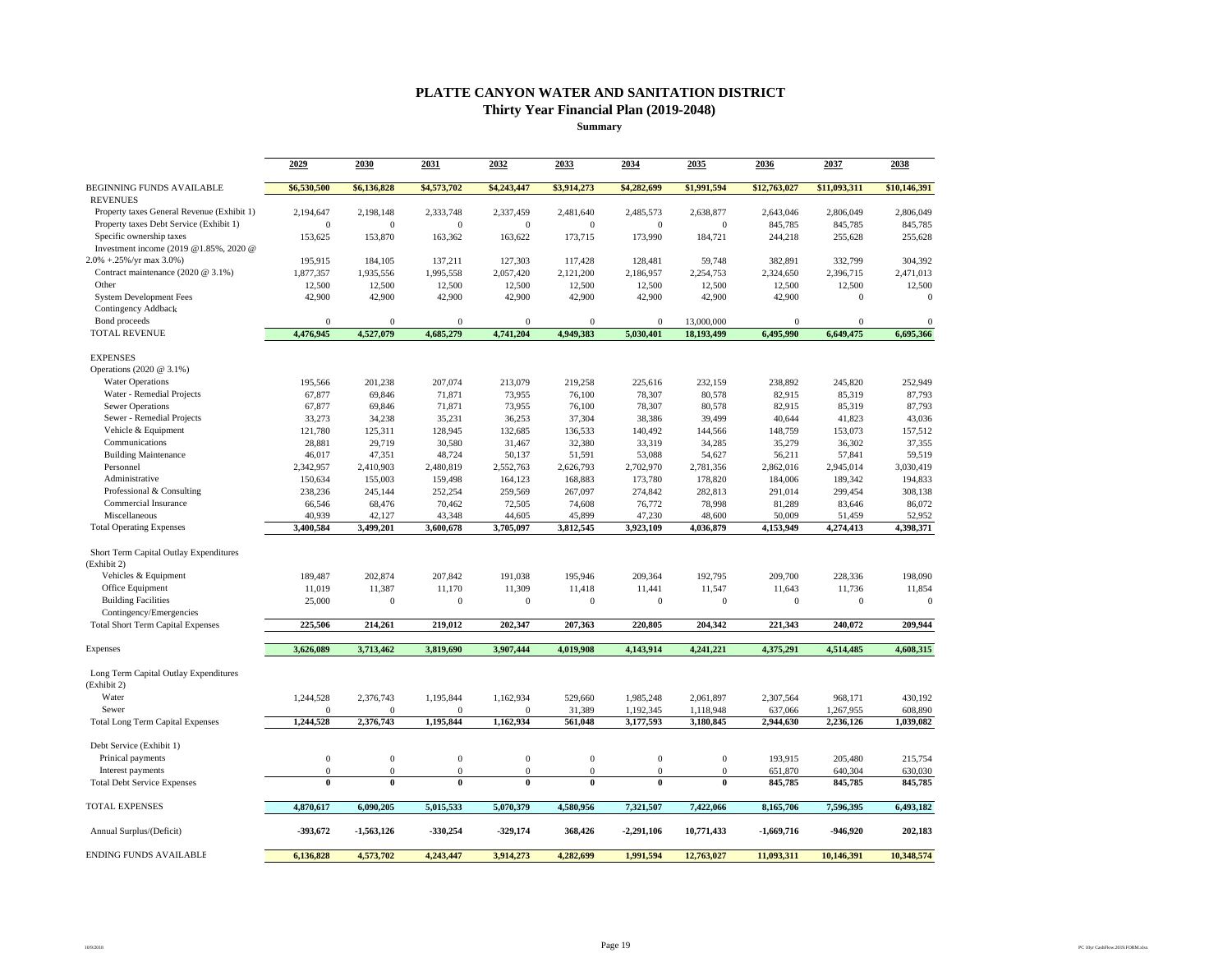## **PLATTE CANYON WATER AND SANITATION DISTRICT Thirty Year Financial Plan (2019-2048)**

**Summary**

|                                                       | 2029         | 2030         | 2031         | 2032             | 2033             | 2034           | 2035           | 2036         | 2037             | 2038         |
|-------------------------------------------------------|--------------|--------------|--------------|------------------|------------------|----------------|----------------|--------------|------------------|--------------|
|                                                       |              |              |              |                  |                  |                |                |              |                  |              |
| <b>BEGINNING FUNDS AVAILABLE</b><br><b>REVENUES</b>   | \$6,530,500  | \$6,136,828  | \$4,573,702  | \$4,243,447      | \$3,914,273      | \$4,282,699    | \$1,991,594    | \$12,763,027 | \$11,093,311     | \$10,146,391 |
| Property taxes General Revenue (Exhibit 1)            | 2,194,647    | 2,198,148    | 2,333,748    | 2,337,459        | 2,481,640        | 2,485,573      | 2,638,877      | 2,643,046    | 2,806,049        | 2,806,049    |
| Property taxes Debt Service (Exhibit 1)               | $\theta$     | $\mathbf{0}$ | $\mathbf{0}$ | $\mathbf{0}$     | $\mathbf{0}$     | $\mathbf{0}$   | $\mathbf{0}$   | 845,785      | 845,785          | 845,785      |
| Specific ownership taxes                              | 153,625      | 153,870      | 163,362      | 163,622          | 173,715          | 173,990        | 184,721        | 244,218      | 255,628          | 255,628      |
| Investment income (2019 @1.85%, 2020 @                |              |              |              |                  |                  |                |                |              |                  |              |
| $2.0\% + 0.25\%$ /yr max 3.0%)                        | 195,915      | 184,105      | 137,211      | 127,303          | 117,428          | 128,481        | 59,748         | 382,891      | 332,799          | 304,392      |
| Contract maintenance (2020 @ 3.1%)                    | 1,877,357    | 1,935,556    | 1,995,558    | 2,057,420        | 2,121,200        | 2,186,957      | 2,254,753      | 2,324,650    | 2,396,715        | 2,471,013    |
| Other                                                 | 12,500       | 12,500       | 12,500       | 12,500           | 12,500           | 12,500         | 12,500         | 12,500       | 12,500           | 12,500       |
| <b>System Development Fees</b>                        | 42,900       | 42,900       | 42,900       | 42,900           | 42,900           | 42,900         | 42,900         | 42,900       | $\boldsymbol{0}$ | $\mathbf{0}$ |
| Contingency Addback                                   |              |              |              |                  |                  |                |                |              |                  |              |
| Bond proceeds                                         | $\Omega$     | $\mathbf{0}$ | $\mathbf{0}$ | $\theta$         | $\mathbf{0}$     | $\overline{0}$ | 13,000,000     | $\mathbf{0}$ | $\mathbf{0}$     | $\mathbf{0}$ |
| <b>TOTAL REVENUE</b>                                  | 4,476,945    | 4,527,079    | 4,685,279    | 4,741,204        | 4,949,383        | 5,030,401      | 18,193,499     | 6,495,990    | 6,649,475        | 6,695,366    |
| <b>EXPENSES</b>                                       |              |              |              |                  |                  |                |                |              |                  |              |
| Operations (2020 @ 3.1%)                              |              |              |              |                  |                  |                |                |              |                  |              |
| <b>Water Operations</b>                               | 195,566      | 201,238      | 207,074      | 213,079          | 219,258          | 225,616        | 232,159        | 238,892      | 245,820          | 252,949      |
| Water - Remedial Projects                             | 67,877       | 69,846       | 71,871       | 73,955           | 76,100           | 78,307         | 80,578         | 82,915       | 85,319           | 87,793       |
| <b>Sewer Operations</b>                               | 67,877       | 69,846       | 71,871       | 73,955           | 76,100           | 78,307         | 80,578         | 82,915       | 85,319           | 87,793       |
| Sewer - Remedial Projects                             | 33,273       | 34,238       | 35,231       | 36,253           | 37,304           | 38,386         | 39,499         | 40,644       | 41,823           | 43,036       |
| Vehicle & Equipment                                   | 121,780      | 125,311      | 128,945      | 132,685          | 136,533          | 140,492        | 144,566        | 148,759      | 153,073          | 157,512      |
| Communications                                        | 28,881       | 29,719       | 30,580       | 31,467           | 32,380           | 33,319         | 34,285         | 35,279       | 36,302           | 37,355       |
| <b>Building Maintenance</b>                           | 46,017       | 47,351       | 48,724       | 50,137           | 51,591           | 53,088         | 54,627         | 56,211       | 57,841           | 59,519       |
| Personnel                                             | 2,342,957    | 2,410,903    | 2,480,819    | 2,552,763        | 2,626,793        | 2,702,970      | 2,781,356      | 2,862,016    | 2,945,014        | 3,030,419    |
| Administrative                                        | 150,634      | 155,003      | 159,498      | 164,123          | 168,883          | 173,780        | 178,820        | 184,006      | 189,342          | 194,833      |
| Professional & Consulting                             | 238,236      | 245,144      | 252,254      | 259,569          | 267,097          | 274,842        | 282,813        | 291,014      | 299,454          | 308,138      |
| Commercial Insurance                                  | 66,546       | 68,476       | 70,462       | 72,505           | 74,608           | 76,772         | 78,998         | 81,289       | 83,646           | 86,072       |
| Miscellaneous                                         | 40,939       | 42,127       | 43,348       | 44,605           | 45,899           | 47,230         | 48,600         | 50,009       | 51,459           | 52,952       |
| <b>Total Operating Expenses</b>                       | 3,400,584    | 3,499,201    | 3,600,678    | 3,705,097        | 3,812,545        | 3,923,109      | 4,036,879      | 4,153,949    | 4,274,413        | 4,398,371    |
| Short Term Capital Outlay Expenditures<br>(Exhibit 2) |              |              |              |                  |                  |                |                |              |                  |              |
| Vehicles & Equipment                                  | 189,487      | 202,874      | 207,842      | 191,038          | 195,946          | 209,364        | 192,795        | 209,700      | 228,336          | 198,090      |
| Office Equipment                                      | 11,019       | 11,387       | 11,170       | 11,309           | 11,418           | 11,441         | 11,547         | 11,643       | 11,736           | 11,854       |
| <b>Building Facilities</b>                            | 25,000       | $\mathbf{0}$ | $\mathbf{0}$ | $\theta$         | $\mathbf{0}$     | $\mathbf{0}$   | $\theta$       | $\mathbf{0}$ | $\mathbf{0}$     | $\mathbf{0}$ |
| Contingency/Emergencies                               |              |              |              |                  |                  |                |                |              |                  |              |
| <b>Total Short Term Capital Expenses</b>              | 225,506      | 214,261      | 219,012      | 202,347          | 207,363          | 220,805        | 204,342        | 221,343      | 240,072          | 209,944      |
| Expenses                                              | 3,626,089    | 3,713,462    | 3,819,690    | 3,907,444        | 4,019,908        | 4,143,914      | 4,241,221      | 4,375,291    | 4,514,485        | 4,608,315    |
|                                                       |              |              |              |                  |                  |                |                |              |                  |              |
| Long Term Capital Outlay Expenditures<br>(Exhibit 2)  |              |              |              |                  |                  |                |                |              |                  |              |
| Water                                                 | 1,244,528    | 2,376,743    | 1,195,844    | 1,162,934        | 529,660          | 1,985,248      | 2,061,897      | 2,307,564    | 968,171          | 430,192      |
| Sewer                                                 | $\Omega$     | $\alpha$     | $\mathbf{0}$ | $\Omega$         | 31.389           | 1,192,345      | 1,118,948      | 637,066      | 1,267,955        | 608,890      |
| <b>Total Long Term Capital Expenses</b>               | 1,244,528    | 2,376,743    | 1,195,844    | 1,162,934        | 561,048          | 3,177,593      | 3,180,845      | 2,944,630    | 2,236,126        | 1,039,082    |
| Debt Service (Exhibit 1)                              |              |              |              |                  |                  |                |                |              |                  |              |
| Prinical payments                                     | $\mathbf{0}$ | $\mathbf{0}$ | $\mathbf{0}$ | $\mathbf{0}$     | $\mathbf{0}$     | $\mathbf{0}$   | $\mathbf{0}$   | 193,915      | 205.480          | 215,754      |
| Interest payments                                     | $\bf{0}$     | $\mathbf{0}$ | $\mathbf{0}$ | $\boldsymbol{0}$ | $\boldsymbol{0}$ | $\bf{0}$       | $\overline{0}$ | 651,870      | 640,304          | 630,030      |
| <b>Total Debt Service Expenses</b>                    | $\mathbf{0}$ | $\bf{0}$     | $\bf{0}$     | $\bf{0}$         | $\bf{0}$         | $\bf{0}$       | $\bf{0}$       | 845,785      | 845,785          | 845,785      |
| <b>TOTAL EXPENSES</b>                                 | 4,870,617    | 6,090,205    | 5,015,533    | 5,070,379        | 4.580.956        | 7,321,507      | 7,422,066      | 8,165,706    | 7,596,395        | 6,493,182    |
| Annual Surplus/(Deficit)                              | -393,672     | $-1,563,126$ | $-330,254$   | $-329,174$       | 368,426          | $-2,291,106$   | 10,771,433     | $-1,669,716$ | -946,920         | 202,183      |
| <b>ENDING FUNDS AVAILABLE</b>                         | 6,136,828    | 4,573,702    | 4.243.447    | 3,914,273        | 4.282.699        | 1.991.594      | 12,763,027     | 11.093.311   | 10.146.391       | 10.348.574   |